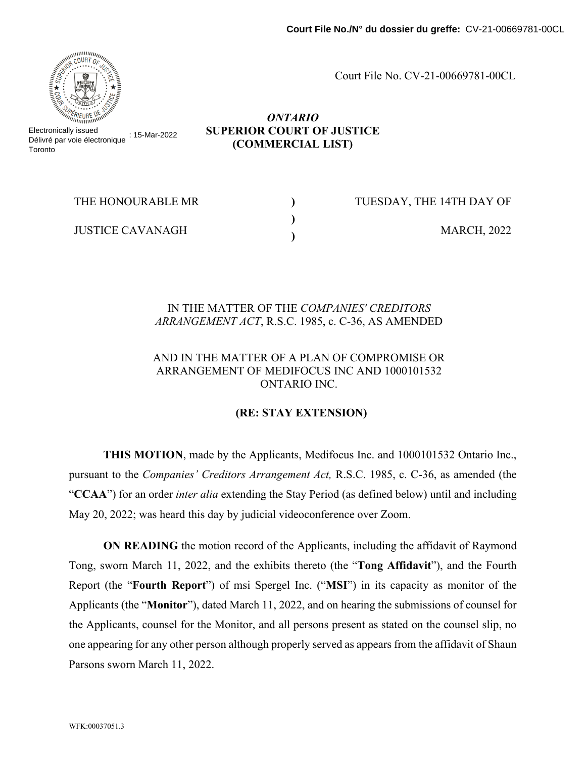Court File No. CV-21-00669781-00CL



Electronically issued Délivré par voie électronique : 15-Mar-2022 **Toronto** 

### *ONTARIO* **SUPERIOR COURT OF JUSTICE (COMMERCIAL LIST)**

**) ) )**

TUESDAY, THE 14TH DAY OF

JUSTICE CAVANAGH

MARCH, 2022

# IN THE MATTER OF THE *COMPANIES' CREDITORS ARRANGEMENT ACT*, R.S.C. 1985, c. C-36, AS AMENDED

## AND IN THE MATTER OF A PLAN OF COMPROMISE OR ARRANGEMENT OF MEDIFOCUS INC AND 1000101532 ONTARIO INC.

# **(RE: STAY EXTENSION)**

**THIS MOTION**, made by the Applicants, Medifocus Inc. and 1000101532 Ontario Inc., pursuant to the *Companies' Creditors Arrangement Act,* R.S.C. 1985, c. C-36, as amended (the "**CCAA**") for an order *inter alia* extending the Stay Period (as defined below) until and including May 20, 2022; was heard this day by judicial videoconference over Zoom.

**ON READING** the motion record of the Applicants, including the affidavit of Raymond Tong, sworn March 11, 2022, and the exhibits thereto (the "**Tong Affidavit**"), and the Fourth Report (the "**Fourth Report**") of msi Spergel Inc. ("**MSI**") in its capacity as monitor of the Applicants (the "**Monitor**"), dated March 11, 2022, and on hearing the submissions of counsel for the Applicants, counsel for the Monitor, and all persons present as stated on the counsel slip, no one appearing for any other person although properly served as appears from the affidavit of Shaun Parsons sworn March 11, 2022.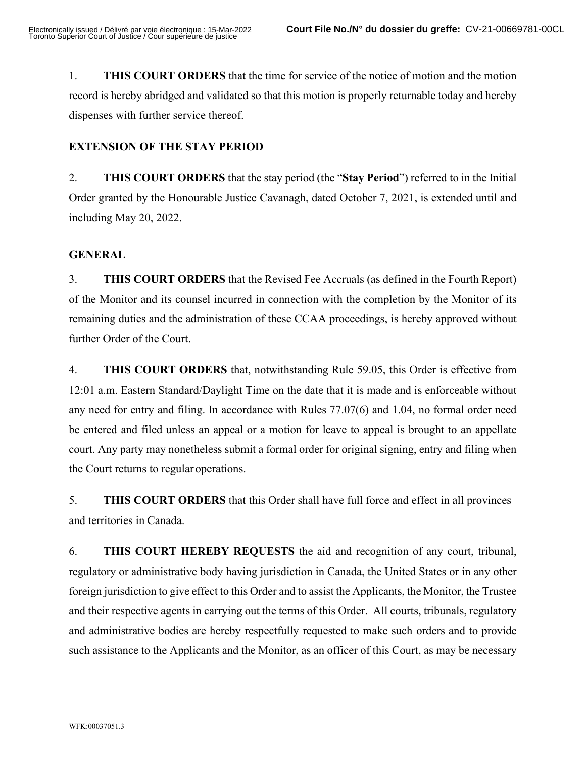1. **THIS COURT ORDERS** that the time for service of the notice of motion and the motion record is hereby abridged and validated so that this motion is properly returnable today and hereby dispenses with further service thereof.

### **EXTENSION OF THE STAY PERIOD**

2. **THIS COURT ORDERS** that the stay period (the "**Stay Period**") referred to in the Initial Order granted by the Honourable Justice Cavanagh, dated October 7, 2021, is extended until and including May 20, 2022.

### **GENERAL**

3. **THIS COURT ORDERS** that the Revised Fee Accruals (as defined in the Fourth Report) of the Monitor and its counsel incurred in connection with the completion by the Monitor of its remaining duties and the administration of these CCAA proceedings, is hereby approved without further Order of the Court.

4. **THIS COURT ORDERS** that, notwithstanding Rule 59.05, this Order is effective from 12:01 a.m. Eastern Standard/Daylight Time on the date that it is made and is enforceable without any need for entry and filing. In accordance with Rules 77.07(6) and 1.04, no formal order need be entered and filed unless an appeal or a motion for leave to appeal is brought to an appellate court. Any party may nonetheless submit a formal order for original signing, entry and filing when the Court returns to regular operations.

5. **THIS COURT ORDERS** that this Order shall have full force and effect in all provinces and territories in Canada.

6. **THIS COURT HEREBY REQUESTS** the aid and recognition of any court, tribunal, regulatory or administrative body having jurisdiction in Canada, the United States or in any other foreign jurisdiction to give effect to this Order and to assist the Applicants, the Monitor, the Trustee and their respective agents in carrying out the terms of this Order. All courts, tribunals, regulatory and administrative bodies are hereby respectfully requested to make such orders and to provide such assistance to the Applicants and the Monitor, as an officer of this Court, as may be necessary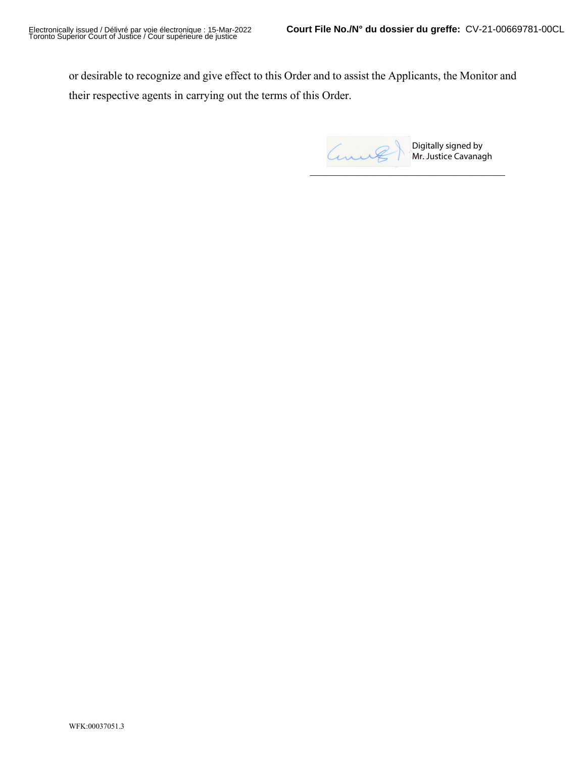or desirable to recognize and give effect to this Order and to assist the Applicants, the Monitor and their respective agents in carrying out the terms of this Order.

anne Digitally signed by Mr. Justice Cavanagh